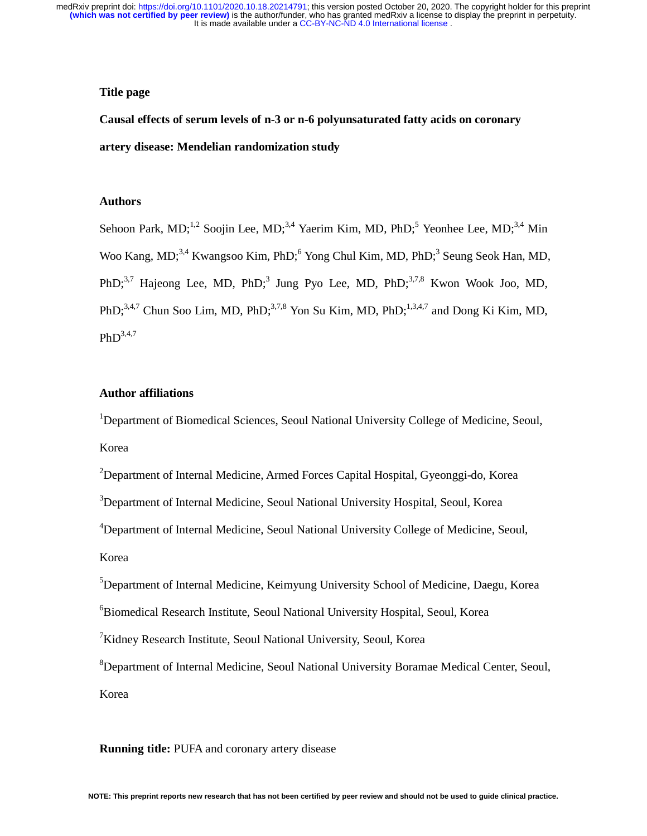## **Title page**

**Causal effects of serum levels of n-3 or n-6 polyunsaturated fatty acids on coronary artery disease: Mendelian randomization study** 

## **Authors**

Sehoon Park, MD;<sup>1,2</sup> Soojin Lee, MD;<sup>3,4</sup> Yaerim Kim, MD, PhD;<sup>5</sup> Yeonhee Lee, MD;<sup>3,4</sup> Min Woo Kang, MD;<sup>3,4</sup> Kwangsoo Kim, PhD;<sup>6</sup> Yong Chul Kim, MD, PhD;<sup>3</sup> Seung Seok Han, MD, PhD;<sup>3,7</sup> Hajeong Lee, MD, PhD;<sup>3</sup> Jung Pyo Lee, MD, PhD;<sup>3,7,8</sup> Kwon Wook Joo, MD, PhD: $3,4,7$  Chun Soo Lim, MD, PhD; $3,7,8$  Yon Su Kim, MD, PhD; $1,3,4,7$  and Dong Ki Kim, MD,  $PhD^{3,4,7}$ 

## **Author affiliations**

<sup>1</sup>Department of Biomedical Sciences, Seoul National University College of Medicine, Seoul, Korea

<sup>2</sup>Department of Internal Medicine, Armed Forces Capital Hospital, Gyeonggi-do, Korea

<sup>3</sup>Department of Internal Medicine, Seoul National University Hospital, Seoul, Korea

<sup>4</sup>Department of Internal Medicine, Seoul National University College of Medicine, Seoul,

Korea

5 Department of Internal Medicine, Keimyung University School of Medicine, Daegu, Korea

6 Biomedical Research Institute, Seoul National University Hospital, Seoul, Korea

<sup>7</sup>Kidney Research Institute, Seoul National University, Seoul, Korea

8 Department of Internal Medicine, Seoul National University Boramae Medical Center, Seoul, Korea

**Running title:** PUFA and coronary artery disease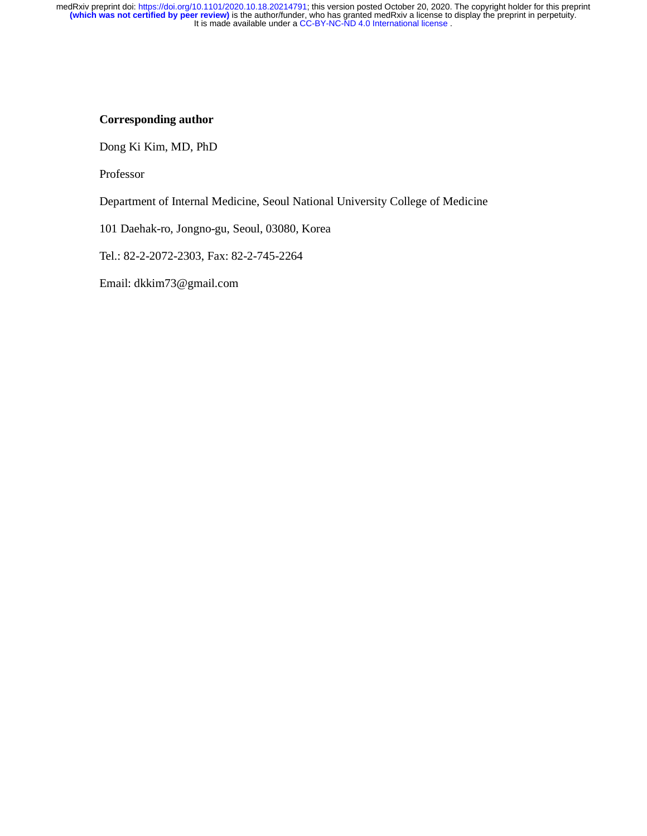# **Corresponding author**

Dong Ki Kim, MD, PhD

Professor

Department of Internal Medicine, Seoul National University College of Medicine

101 Daehak-ro, Jongno-gu, Seoul, 03080, Korea

Tel.: 82-2-2072-2303, Fax: 82-2-745-2264

Email: dkkim73@gmail.com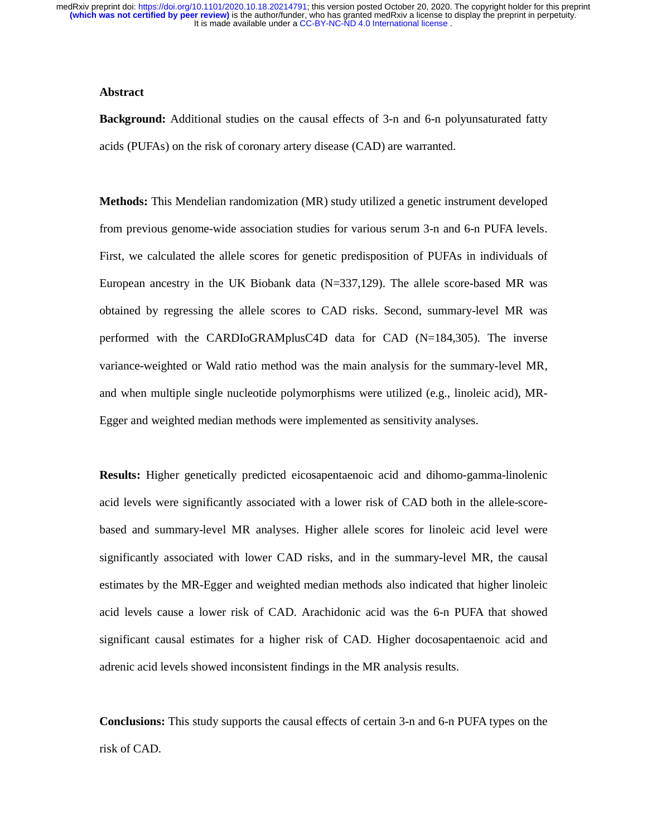### **Abstract**

**Background:** Additional studies on the causal effects of 3-n and 6-n polyunsaturated fatty acids (PUFAs) on the risk of coronary artery disease (CAD) are warranted.

**Methods:** This Mendelian randomization (MR) study utilized a genetic instrument developed from previous genome-wide association studies for various serum 3-n and 6-n PUFA levels. First, we calculated the allele scores for genetic predisposition of PUFAs in individuals of European ancestry in the UK Biobank data (N=337,129). The allele score-based MR was obtained by regressing the allele scores to CAD risks. Second, summary-level MR was performed with the CARDIoGRAMplusC4D data for CAD (N=184,305). The inverse variance-weighted or Wald ratio method was the main analysis for the summary-level MR, and when multiple single nucleotide polymorphisms were utilized (e.g., linoleic acid), MR-Egger and weighted median methods were implemented as sensitivity analyses.

**Results:** Higher genetically predicted eicosapentaenoic acid and dihomo-gamma-linolenic acid levels were significantly associated with a lower risk of CAD both in the allele-scorebased and summary-level MR analyses. Higher allele scores for linoleic acid level were significantly associated with lower CAD risks, and in the summary-level MR, the causal estimates by the MR-Egger and weighted median methods also indicated that higher linoleic acid levels cause a lower risk of CAD. Arachidonic acid was the 6-n PUFA that showed significant causal estimates for a higher risk of CAD. Higher docosapentaenoic acid and adrenic acid levels showed inconsistent findings in the MR analysis results.

**Conclusions:** This study supports the causal effects of certain 3-n and 6-n PUFA types on the risk of CAD.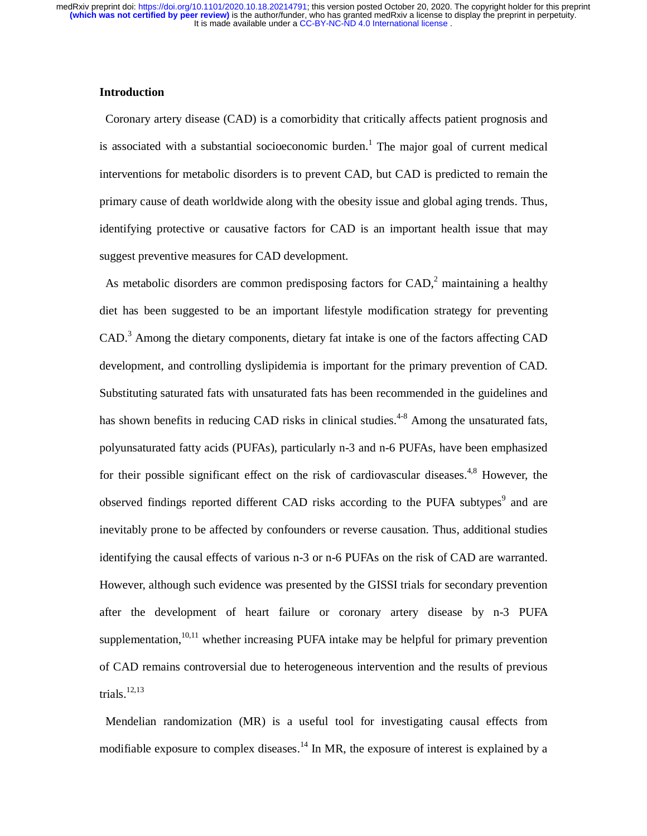#### **Introduction**

Coronary artery disease (CAD) is a comorbidity that critically affects patient prognosis and is associated with a substantial socioeconomic burden.<sup>1</sup> The major goal of current medical interventions for metabolic disorders is to prevent CAD, but CAD is predicted to remain the primary cause of death worldwide along with the obesity issue and global aging trends. Thus, identifying protective or causative factors for CAD is an important health issue that may suggest preventive measures for CAD development.

As metabolic disorders are common predisposing factors for  $CAD$ , maintaining a healthy diet has been suggested to be an important lifestyle modification strategy for preventing CAD.<sup>3</sup> Among the dietary components, dietary fat intake is one of the factors affecting CAD development, and controlling dyslipidemia is important for the primary prevention of CAD. Substituting saturated fats with unsaturated fats has been recommended in the guidelines and has shown benefits in reducing CAD risks in clinical studies.<sup>4-8</sup> Among the unsaturated fats, polyunsaturated fatty acids (PUFAs), particularly n-3 and n-6 PUFAs, have been emphasized for their possible significant effect on the risk of cardiovascular diseases. $4,8$  However, the observed findings reported different CAD risks according to the PUFA subtypes<sup>9</sup> and are inevitably prone to be affected by confounders or reverse causation. Thus, additional studies identifying the causal effects of various n-3 or n-6 PUFAs on the risk of CAD are warranted. However, although such evidence was presented by the GISSI trials for secondary prevention after the development of heart failure or coronary artery disease by n-3 PUFA supplementation,<sup>10,11</sup> whether increasing PUFA intake may be helpful for primary prevention of CAD remains controversial due to heterogeneous intervention and the results of previous trials. $12,13$ 

 Mendelian randomization (MR) is a useful tool for investigating causal effects from modifiable exposure to complex diseases.<sup>14</sup> In MR, the exposure of interest is explained by a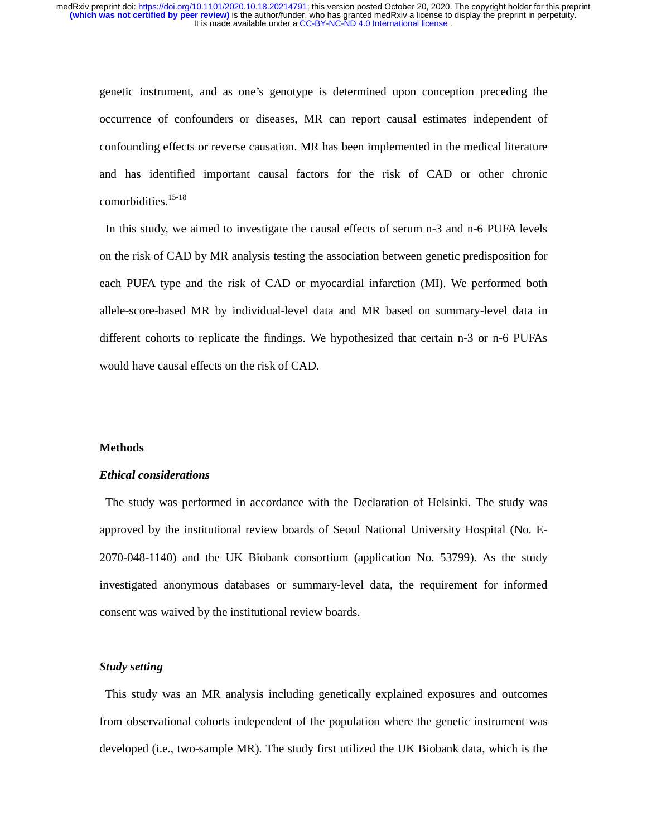genetic instrument, and as one's genotype is determined upon conception preceding the occurrence of confounders or diseases, MR can report causal estimates independent of confounding effects or reverse causation. MR has been implemented in the medical literature and has identified important causal factors for the risk of CAD or other chronic comorbidities.<sup>15-18</sup>

 In this study, we aimed to investigate the causal effects of serum n-3 and n-6 PUFA levels on the risk of CAD by MR analysis testing the association between genetic predisposition for each PUFA type and the risk of CAD or myocardial infarction (MI). We performed both allele-score-based MR by individual-level data and MR based on summary-level data in different cohorts to replicate the findings. We hypothesized that certain n-3 or n-6 PUFAs would have causal effects on the risk of CAD.

## **Methods**

## *Ethical considerations*

 The study was performed in accordance with the Declaration of Helsinki. The study was approved by the institutional review boards of Seoul National University Hospital (No. E-2070-048-1140) and the UK Biobank consortium (application No. 53799). As the study investigated anonymous databases or summary-level data, the requirement for informed consent was waived by the institutional review boards.

### *Study setting*

This study was an MR analysis including genetically explained exposures and outcomes from observational cohorts independent of the population where the genetic instrument was developed (i.e., two-sample MR). The study first utilized the UK Biobank data, which is the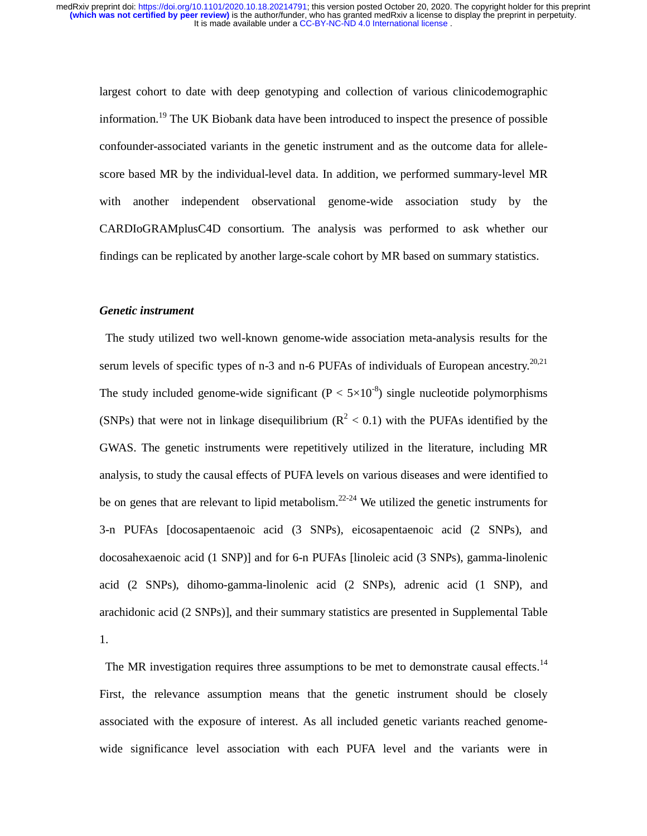largest cohort to date with deep genotyping and collection of various clinicodemographic information.<sup>19</sup> The UK Biobank data have been introduced to inspect the presence of possible confounder-associated variants in the genetic instrument and as the outcome data for allelescore based MR by the individual-level data. In addition, we performed summary-level MR with another independent observational genome-wide association study by the CARDIoGRAMplusC4D consortium. The analysis was performed to ask whether our findings can be replicated by another large-scale cohort by MR based on summary statistics.

#### *Genetic instrument*

The study utilized two well-known genome-wide association meta-analysis results for the serum levels of specific types of n-3 and n-6 PUFAs of individuals of European ancestry.<sup>20,21</sup> The study included genome-wide significant  $(P < 5 \times 10^{-8})$  single nucleotide polymorphisms (SNPs) that were not in linkage disequilibrium ( $R^2$  < 0.1) with the PUFAs identified by the GWAS. The genetic instruments were repetitively utilized in the literature, including MR analysis, to study the causal effects of PUFA levels on various diseases and were identified to be on genes that are relevant to lipid metabolism.<sup>22-24</sup> We utilized the genetic instruments for 3-n PUFAs [docosapentaenoic acid (3 SNPs), eicosapentaenoic acid (2 SNPs), and docosahexaenoic acid (1 SNP)] and for 6-n PUFAs [linoleic acid (3 SNPs), gamma-linolenic acid (2 SNPs), dihomo-gamma-linolenic acid (2 SNPs), adrenic acid (1 SNP), and arachidonic acid (2 SNPs)], and their summary statistics are presented in Supplemental Table 1.

The MR investigation requires three assumptions to be met to demonstrate causal effects.<sup>14</sup> First, the relevance assumption means that the genetic instrument should be closely associated with the exposure of interest. As all included genetic variants reached genomewide significance level association with each PUFA level and the variants were in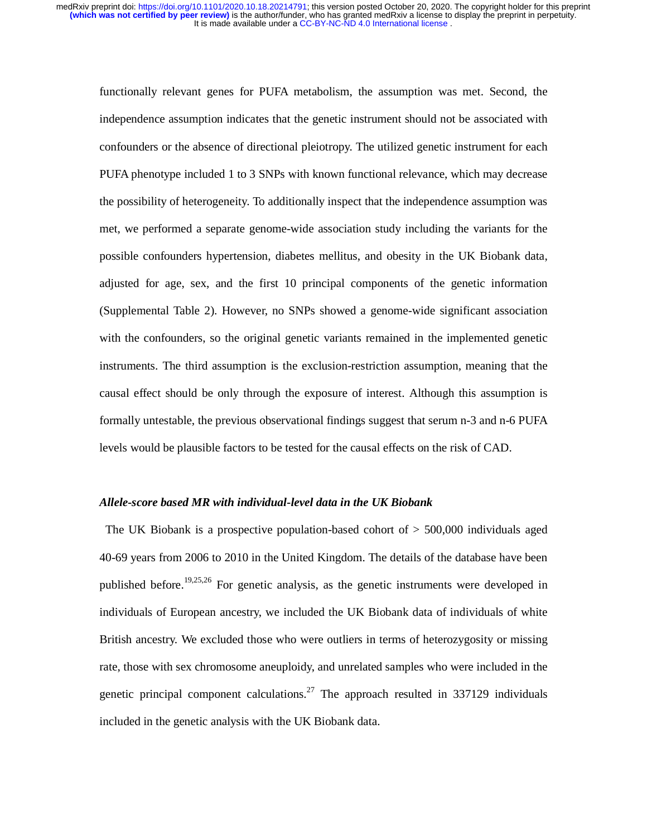functionally relevant genes for PUFA metabolism, the assumption was met. Second, the independence assumption indicates that the genetic instrument should not be associated with confounders or the absence of directional pleiotropy. The utilized genetic instrument for each PUFA phenotype included 1 to 3 SNPs with known functional relevance, which may decrease the possibility of heterogeneity. To additionally inspect that the independence assumption was met, we performed a separate genome-wide association study including the variants for the possible confounders hypertension, diabetes mellitus, and obesity in the UK Biobank data, adjusted for age, sex, and the first 10 principal components of the genetic information (Supplemental Table 2). However, no SNPs showed a genome-wide significant association with the confounders, so the original genetic variants remained in the implemented genetic instruments. The third assumption is the exclusion-restriction assumption, meaning that the causal effect should be only through the exposure of interest. Although this assumption is formally untestable, the previous observational findings suggest that serum n-3 and n-6 PUFA levels would be plausible factors to be tested for the causal effects on the risk of CAD.

#### *Allele-score based MR with individual-level data in the UK Biobank*

The UK Biobank is a prospective population-based cohort of  $>$  500,000 individuals aged 40-69 years from 2006 to 2010 in the United Kingdom. The details of the database have been published before.19,25,26 For genetic analysis, as the genetic instruments were developed in individuals of European ancestry, we included the UK Biobank data of individuals of white British ancestry. We excluded those who were outliers in terms of heterozygosity or missing rate, those with sex chromosome aneuploidy, and unrelated samples who were included in the genetic principal component calculations.<sup>27</sup> The approach resulted in 337129 individuals included in the genetic analysis with the UK Biobank data.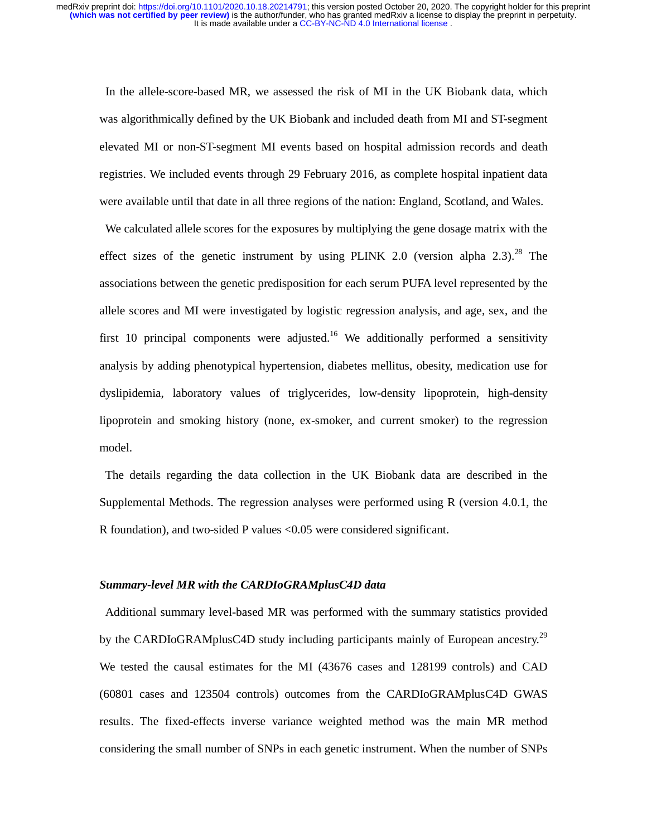In the allele-score-based MR, we assessed the risk of MI in the UK Biobank data, which was algorithmically defined by the UK Biobank and included death from MI and ST-segment elevated MI or non-ST-segment MI events based on hospital admission records and death registries. We included events through 29 February 2016, as complete hospital inpatient data were available until that date in all three regions of the nation: England, Scotland, and Wales.

We calculated allele scores for the exposures by multiplying the gene dosage matrix with the effect sizes of the genetic instrument by using PLINK 2.0 (version alpha 2.3).<sup>28</sup> The associations between the genetic predisposition for each serum PUFA level represented by the allele scores and MI were investigated by logistic regression analysis, and age, sex, and the first 10 principal components were adjusted.<sup>16</sup> We additionally performed a sensitivity analysis by adding phenotypical hypertension, diabetes mellitus, obesity, medication use for dyslipidemia, laboratory values of triglycerides, low-density lipoprotein, high-density lipoprotein and smoking history (none, ex-smoker, and current smoker) to the regression model.

The details regarding the data collection in the UK Biobank data are described in the Supplemental Methods. The regression analyses were performed using R (version 4.0.1, the R foundation), and two-sided P values <0.05 were considered significant.

#### *Summary-level MR with the CARDIoGRAMplusC4D data*

Additional summary level-based MR was performed with the summary statistics provided by the CARDIoGRAMplusC4D study including participants mainly of European ancestry.<sup>29</sup> We tested the causal estimates for the MI (43676 cases and 128199 controls) and CAD (60801 cases and 123504 controls) outcomes from the CARDIoGRAMplusC4D GWAS results. The fixed-effects inverse variance weighted method was the main MR method considering the small number of SNPs in each genetic instrument. When the number of SNPs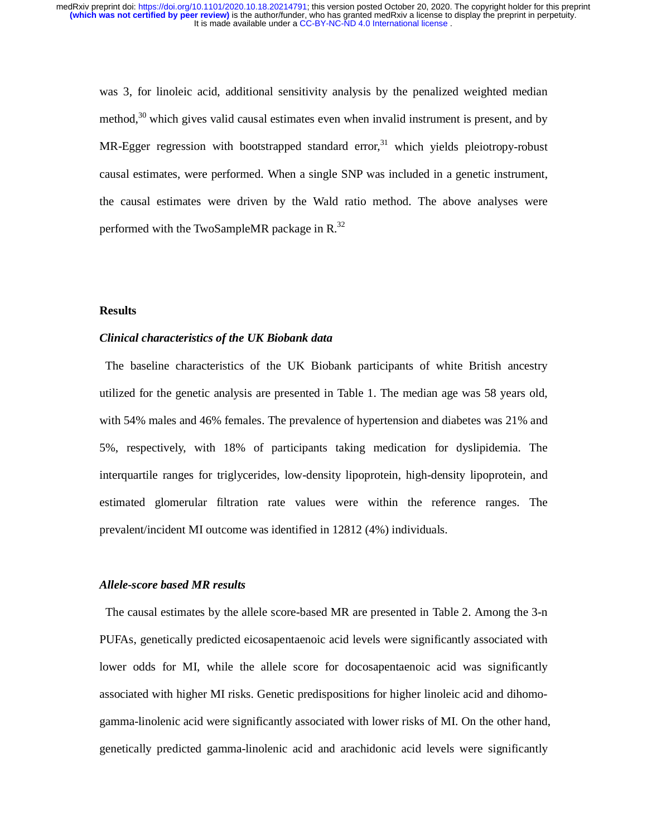was 3, for linoleic acid, additional sensitivity analysis by the penalized weighted median method, $30$  which gives valid causal estimates even when invalid instrument is present, and by MR-Egger regression with bootstrapped standard error,<sup>31</sup> which yields pleiotropy-robust causal estimates, were performed. When a single SNP was included in a genetic instrument, the causal estimates were driven by the Wald ratio method. The above analyses were performed with the TwoSampleMR package in  $R^{32}$ .

#### **Results**

#### *Clinical characteristics of the UK Biobank data*

The baseline characteristics of the UK Biobank participants of white British ancestry utilized for the genetic analysis are presented in Table 1. The median age was 58 years old, with 54% males and 46% females. The prevalence of hypertension and diabetes was 21% and 5%, respectively, with 18% of participants taking medication for dyslipidemia. The interquartile ranges for triglycerides, low-density lipoprotein, high-density lipoprotein, and estimated glomerular filtration rate values were within the reference ranges. The prevalent/incident MI outcome was identified in 12812 (4%) individuals.

#### *Allele-score based MR results*

The causal estimates by the allele score-based MR are presented in Table 2. Among the 3-n PUFAs, genetically predicted eicosapentaenoic acid levels were significantly associated with lower odds for MI, while the allele score for docosapentaenoic acid was significantly associated with higher MI risks. Genetic predispositions for higher linoleic acid and dihomogamma-linolenic acid were significantly associated with lower risks of MI. On the other hand, genetically predicted gamma-linolenic acid and arachidonic acid levels were significantly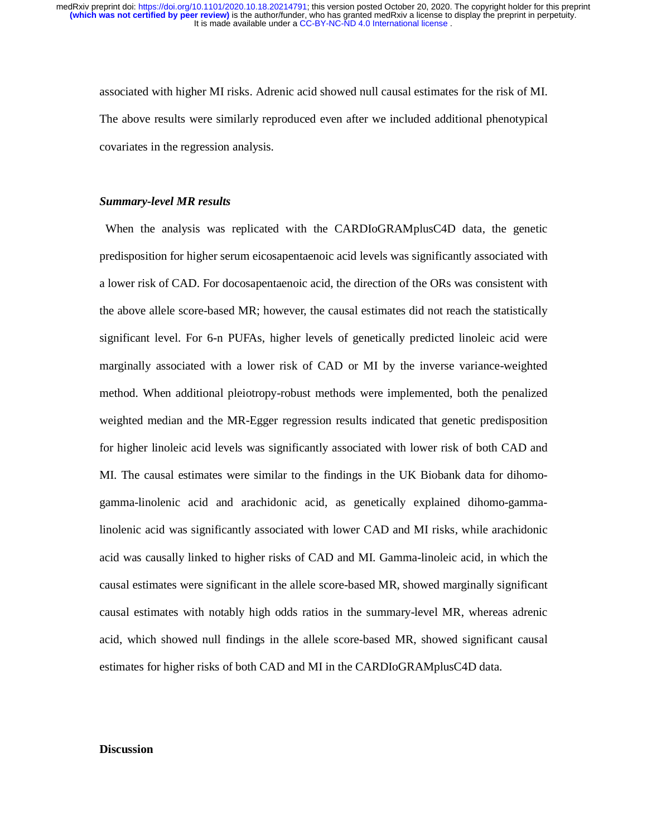associated with higher MI risks. Adrenic acid showed null causal estimates for the risk of MI. The above results were similarly reproduced even after we included additional phenotypical covariates in the regression analysis.

#### *Summary-level MR results*

 When the analysis was replicated with the CARDIoGRAMplusC4D data, the genetic predisposition for higher serum eicosapentaenoic acid levels was significantly associated with a lower risk of CAD. For docosapentaenoic acid, the direction of the ORs was consistent with the above allele score-based MR; however, the causal estimates did not reach the statistically significant level. For 6-n PUFAs, higher levels of genetically predicted linoleic acid were marginally associated with a lower risk of CAD or MI by the inverse variance-weighted method. When additional pleiotropy-robust methods were implemented, both the penalized weighted median and the MR-Egger regression results indicated that genetic predisposition for higher linoleic acid levels was significantly associated with lower risk of both CAD and MI. The causal estimates were similar to the findings in the UK Biobank data for dihomogamma-linolenic acid and arachidonic acid, as genetically explained dihomo-gammalinolenic acid was significantly associated with lower CAD and MI risks, while arachidonic acid was causally linked to higher risks of CAD and MI. Gamma-linoleic acid, in which the causal estimates were significant in the allele score-based MR, showed marginally significant causal estimates with notably high odds ratios in the summary-level MR, whereas adrenic acid, which showed null findings in the allele score-based MR, showed significant causal estimates for higher risks of both CAD and MI in the CARDIoGRAMplusC4D data.

## **Discussion**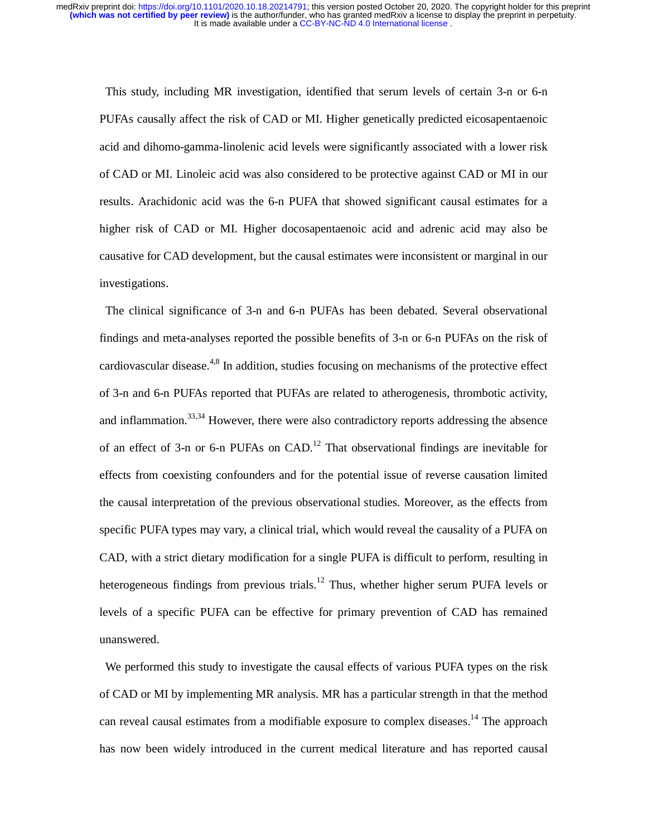This study, including MR investigation, identified that serum levels of certain 3-n or 6-n PUFAs causally affect the risk of CAD or MI. Higher genetically predicted eicosapentaenoic acid and dihomo-gamma-linolenic acid levels were significantly associated with a lower risk of CAD or MI. Linoleic acid was also considered to be protective against CAD or MI in our results. Arachidonic acid was the 6-n PUFA that showed significant causal estimates for a higher risk of CAD or MI. Higher docosapentaenoic acid and adrenic acid may also be causative for CAD development, but the causal estimates were inconsistent or marginal in our investigations.

 The clinical significance of 3-n and 6-n PUFAs has been debated. Several observational findings and meta-analyses reported the possible benefits of 3-n or 6-n PUFAs on the risk of cardiovascular disease.<sup>4,8</sup> In addition, studies focusing on mechanisms of the protective effect of 3-n and 6-n PUFAs reported that PUFAs are related to atherogenesis, thrombotic activity, and inflammation.<sup>33,34</sup> However, there were also contradictory reports addressing the absence of an effect of 3-n or 6-n PUFAs on  $CAD<sup>12</sup>$ . That observational findings are inevitable for effects from coexisting confounders and for the potential issue of reverse causation limited the causal interpretation of the previous observational studies. Moreover, as the effects from specific PUFA types may vary, a clinical trial, which would reveal the causality of a PUFA on CAD, with a strict dietary modification for a single PUFA is difficult to perform, resulting in heterogeneous findings from previous trials.<sup>12</sup> Thus, whether higher serum PUFA levels or levels of a specific PUFA can be effective for primary prevention of CAD has remained unanswered.

We performed this study to investigate the causal effects of various PUFA types on the risk of CAD or MI by implementing MR analysis. MR has a particular strength in that the method can reveal causal estimates from a modifiable exposure to complex diseases.<sup>14</sup> The approach has now been widely introduced in the current medical literature and has reported causal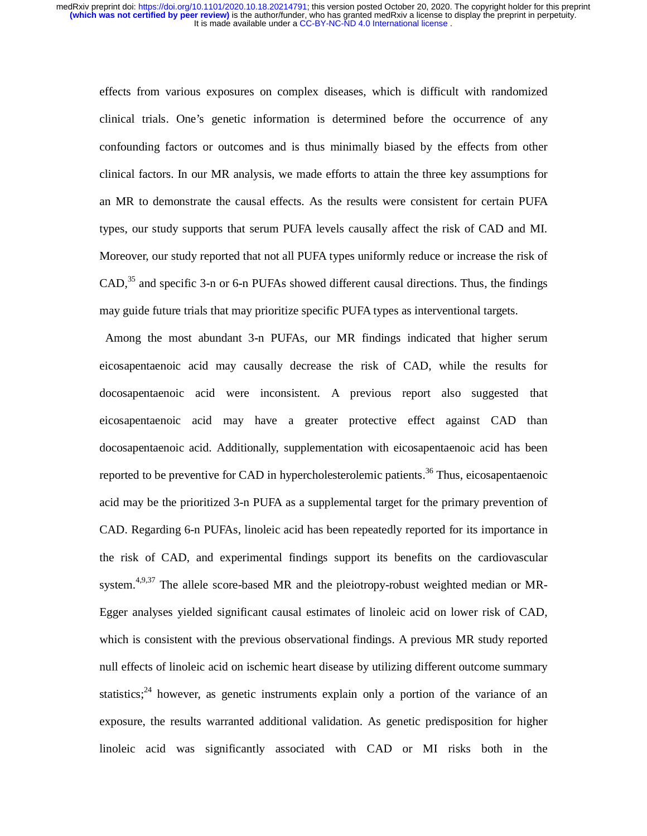effects from various exposures on complex diseases, which is difficult with randomized clinical trials. One's genetic information is determined before the occurrence of any confounding factors or outcomes and is thus minimally biased by the effects from other clinical factors. In our MR analysis, we made efforts to attain the three key assumptions for an MR to demonstrate the causal effects. As the results were consistent for certain PUFA types, our study supports that serum PUFA levels causally affect the risk of CAD and MI. Moreover, our study reported that not all PUFA types uniformly reduce or increase the risk of  $CAD<sup>35</sup>$  and specific 3-n or 6-n PUFAs showed different causal directions. Thus, the findings may guide future trials that may prioritize specific PUFA types as interventional targets.

Among the most abundant 3-n PUFAs, our MR findings indicated that higher serum eicosapentaenoic acid may causally decrease the risk of CAD, while the results for docosapentaenoic acid were inconsistent. A previous report also suggested that eicosapentaenoic acid may have a greater protective effect against CAD than docosapentaenoic acid. Additionally, supplementation with eicosapentaenoic acid has been reported to be preventive for CAD in hypercholesterolemic patients.<sup>36</sup> Thus, eicosapentaenoic acid may be the prioritized 3-n PUFA as a supplemental target for the primary prevention of CAD. Regarding 6-n PUFAs, linoleic acid has been repeatedly reported for its importance in the risk of CAD, and experimental findings support its benefits on the cardiovascular system.<sup>4,9,37</sup> The allele score-based MR and the pleiotropy-robust weighted median or MR-Egger analyses yielded significant causal estimates of linoleic acid on lower risk of CAD, which is consistent with the previous observational findings. A previous MR study reported null effects of linoleic acid on ischemic heart disease by utilizing different outcome summary statistics;<sup>24</sup> however, as genetic instruments explain only a portion of the variance of an exposure, the results warranted additional validation. As genetic predisposition for higher linoleic acid was significantly associated with CAD or MI risks both in the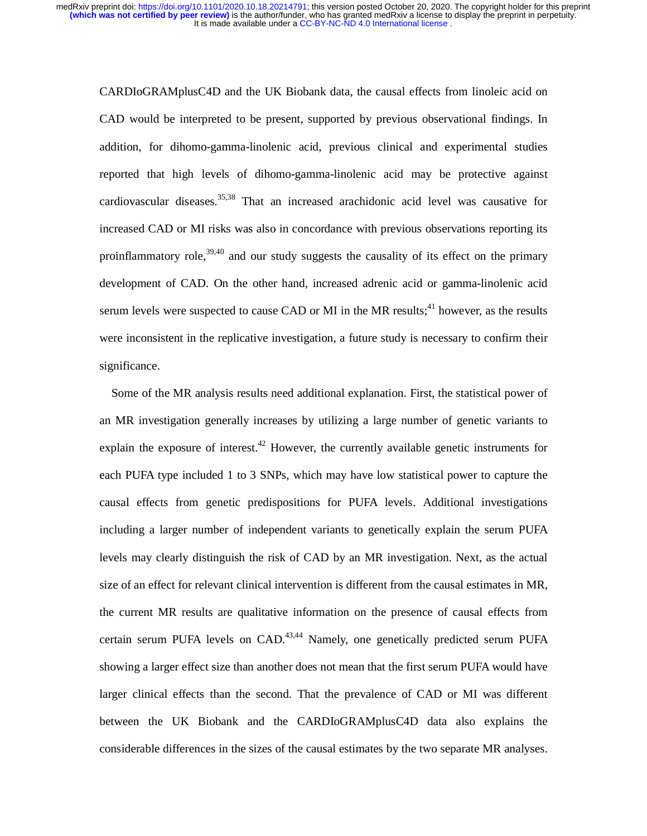CARDIoGRAMplusC4D and the UK Biobank data, the causal effects from linoleic acid on CAD would be interpreted to be present, supported by previous observational findings. In addition, for dihomo-gamma-linolenic acid, previous clinical and experimental studies reported that high levels of dihomo-gamma-linolenic acid may be protective against cardiovascular diseases.<sup>35,38</sup> That an increased arachidonic acid level was causative for increased CAD or MI risks was also in concordance with previous observations reporting its proinflammatory role,  $39,40$  and our study suggests the causality of its effect on the primary development of CAD. On the other hand, increased adrenic acid or gamma-linolenic acid serum levels were suspected to cause CAD or MI in the MR results;  $41$  however, as the results were inconsistent in the replicative investigation, a future study is necessary to confirm their significance.

 Some of the MR analysis results need additional explanation. First, the statistical power of an MR investigation generally increases by utilizing a large number of genetic variants to explain the exposure of interest.<sup>42</sup> However, the currently available genetic instruments for each PUFA type included 1 to 3 SNPs, which may have low statistical power to capture the causal effects from genetic predispositions for PUFA levels. Additional investigations including a larger number of independent variants to genetically explain the serum PUFA levels may clearly distinguish the risk of CAD by an MR investigation. Next, as the actual size of an effect for relevant clinical intervention is different from the causal estimates in MR, the current MR results are qualitative information on the presence of causal effects from certain serum PUFA levels on  $CAD.43,44$  Namely, one genetically predicted serum PUFA showing a larger effect size than another does not mean that the first serum PUFA would have larger clinical effects than the second. That the prevalence of CAD or MI was different between the UK Biobank and the CARDIoGRAMplusC4D data also explains the considerable differences in the sizes of the causal estimates by the two separate MR analyses.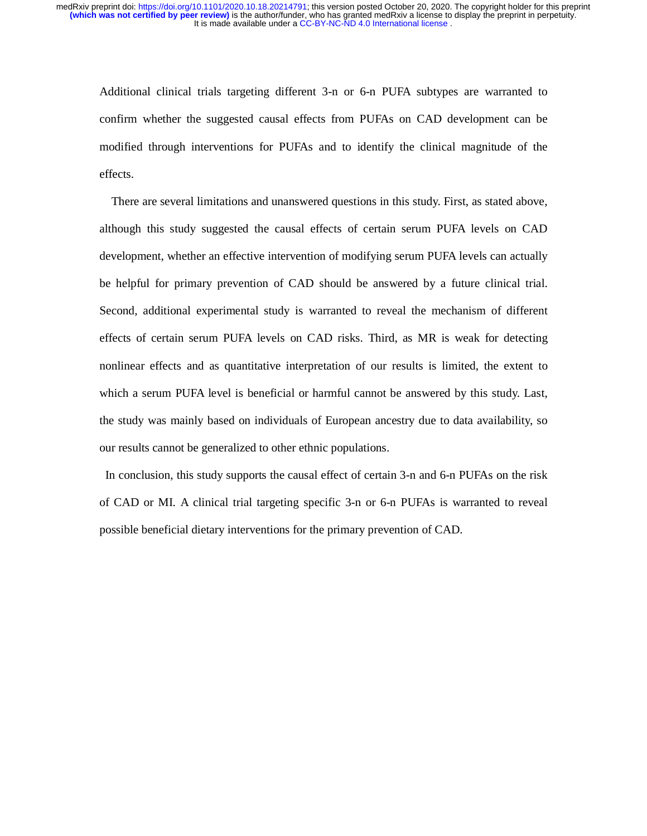Additional clinical trials targeting different 3-n or 6-n PUFA subtypes are warranted to confirm whether the suggested causal effects from PUFAs on CAD development can be modified through interventions for PUFAs and to identify the clinical magnitude of the effects.

 There are several limitations and unanswered questions in this study. First, as stated above, although this study suggested the causal effects of certain serum PUFA levels on CAD development, whether an effective intervention of modifying serum PUFA levels can actually be helpful for primary prevention of CAD should be answered by a future clinical trial. Second, additional experimental study is warranted to reveal the mechanism of different effects of certain serum PUFA levels on CAD risks. Third, as MR is weak for detecting nonlinear effects and as quantitative interpretation of our results is limited, the extent to which a serum PUFA level is beneficial or harmful cannot be answered by this study. Last, the study was mainly based on individuals of European ancestry due to data availability, so our results cannot be generalized to other ethnic populations.

In conclusion, this study supports the causal effect of certain 3-n and 6-n PUFAs on the risk of CAD or MI. A clinical trial targeting specific 3-n or 6-n PUFAs is warranted to reveal possible beneficial dietary interventions for the primary prevention of CAD.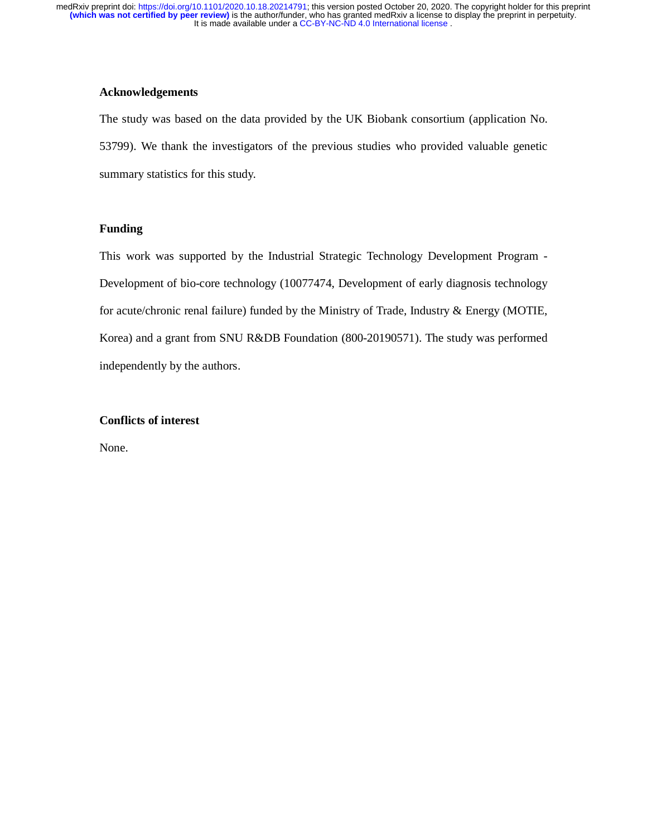## **Acknowledgements**

The study was based on the data provided by the UK Biobank consortium (application No. 53799). We thank the investigators of the previous studies who provided valuable genetic summary statistics for this study.

## **Funding**

This work was supported by the Industrial Strategic Technology Development Program - Development of bio-core technology (10077474, Development of early diagnosis technology for acute/chronic renal failure) funded by the Ministry of Trade, Industry & Energy (MOTIE, Korea) and a grant from SNU R&DB Foundation (800-20190571). The study was performed independently by the authors.

## **Conflicts of interest**

None.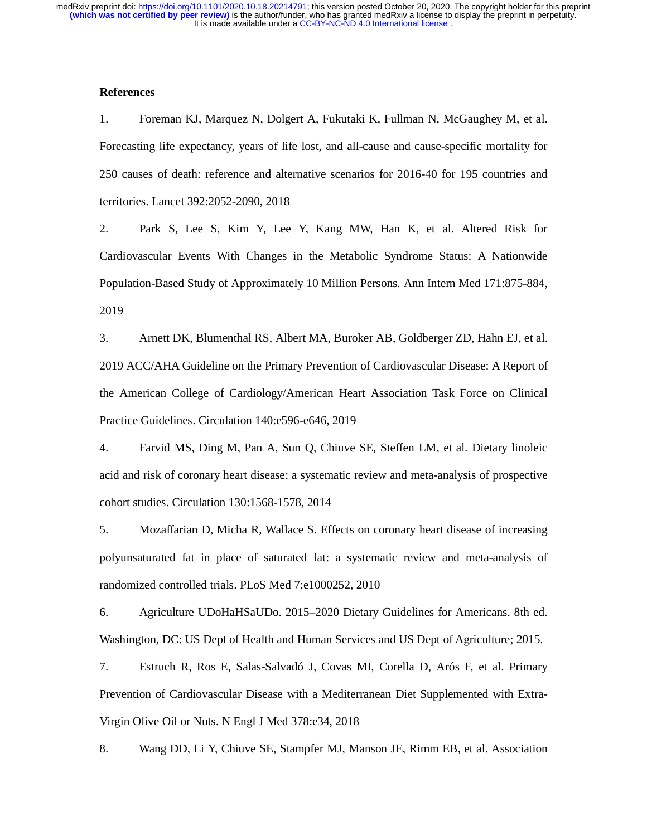### **References**

1. Foreman KJ, Marquez N, Dolgert A, Fukutaki K, Fullman N, McGaughey M, et al. Forecasting life expectancy, years of life lost, and all-cause and cause-specific mortality for 250 causes of death: reference and alternative scenarios for 2016-40 for 195 countries and territories. Lancet 392:2052-2090, 2018

2. Park S, Lee S, Kim Y, Lee Y, Kang MW, Han K, et al. Altered Risk for Cardiovascular Events With Changes in the Metabolic Syndrome Status: A Nationwide Population-Based Study of Approximately 10 Million Persons. Ann Intern Med 171:875-884, 2019

3. Arnett DK, Blumenthal RS, Albert MA, Buroker AB, Goldberger ZD, Hahn EJ, et al. 2019 ACC/AHA Guideline on the Primary Prevention of Cardiovascular Disease: A Report of the American College of Cardiology/American Heart Association Task Force on Clinical Practice Guidelines. Circulation 140:e596-e646, 2019

4. Farvid MS, Ding M, Pan A, Sun Q, Chiuve SE, Steffen LM, et al. Dietary linoleic acid and risk of coronary heart disease: a systematic review and meta-analysis of prospective cohort studies. Circulation 130:1568-1578, 2014

5. Mozaffarian D, Micha R, Wallace S. Effects on coronary heart disease of increasing polyunsaturated fat in place of saturated fat: a systematic review and meta-analysis of randomized controlled trials. PLoS Med 7:e1000252, 2010

6. Agriculture UDoHaHSaUDo. 2015–2020 Dietary Guidelines for Americans. 8th ed. Washington, DC: US Dept of Health and Human Services and US Dept of Agriculture; 2015.

7. Estruch R, Ros E, Salas-Salvadó J, Covas MI, Corella D, Arós F, et al. Primary Prevention of Cardiovascular Disease with a Mediterranean Diet Supplemented with Extra-Virgin Olive Oil or Nuts. N Engl J Med 378:e34, 2018

8. Wang DD, Li Y, Chiuve SE, Stampfer MJ, Manson JE, Rimm EB, et al. Association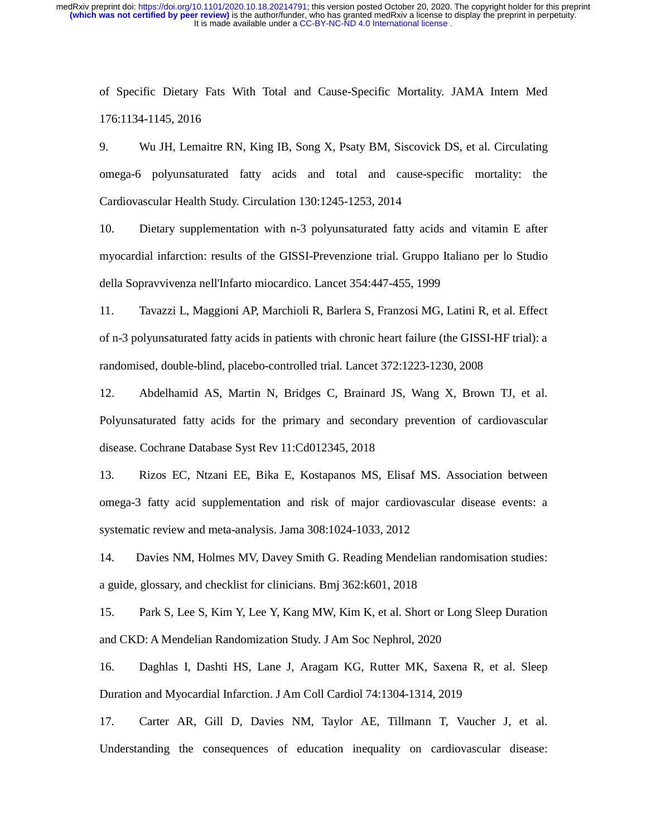of Specific Dietary Fats With Total and Cause-Specific Mortality. JAMA Intern Med 176:1134-1145, 2016

9. Wu JH, Lemaitre RN, King IB, Song X, Psaty BM, Siscovick DS, et al. Circulating omega-6 polyunsaturated fatty acids and total and cause-specific mortality: the Cardiovascular Health Study. Circulation 130:1245-1253, 2014

10. Dietary supplementation with n-3 polyunsaturated fatty acids and vitamin E after myocardial infarction: results of the GISSI-Prevenzione trial. Gruppo Italiano per lo Studio della Sopravvivenza nell'Infarto miocardico. Lancet 354:447-455, 1999

11. Tavazzi L, Maggioni AP, Marchioli R, Barlera S, Franzosi MG, Latini R, et al. Effect of n-3 polyunsaturated fatty acids in patients with chronic heart failure (the GISSI-HF trial): a randomised, double-blind, placebo-controlled trial. Lancet 372:1223-1230, 2008

12. Abdelhamid AS, Martin N, Bridges C, Brainard JS, Wang X, Brown TJ, et al. Polyunsaturated fatty acids for the primary and secondary prevention of cardiovascular disease. Cochrane Database Syst Rev 11:Cd012345, 2018

13. Rizos EC, Ntzani EE, Bika E, Kostapanos MS, Elisaf MS. Association between omega-3 fatty acid supplementation and risk of major cardiovascular disease events: a systematic review and meta-analysis. Jama 308:1024-1033, 2012

14. Davies NM, Holmes MV, Davey Smith G. Reading Mendelian randomisation studies: a guide, glossary, and checklist for clinicians. Bmj 362:k601, 2018

15. Park S, Lee S, Kim Y, Lee Y, Kang MW, Kim K, et al. Short or Long Sleep Duration and CKD: A Mendelian Randomization Study. J Am Soc Nephrol, 2020

16. Daghlas I, Dashti HS, Lane J, Aragam KG, Rutter MK, Saxena R, et al. Sleep Duration and Myocardial Infarction. J Am Coll Cardiol 74:1304-1314, 2019

17. Carter AR, Gill D, Davies NM, Taylor AE, Tillmann T, Vaucher J, et al. Understanding the consequences of education inequality on cardiovascular disease: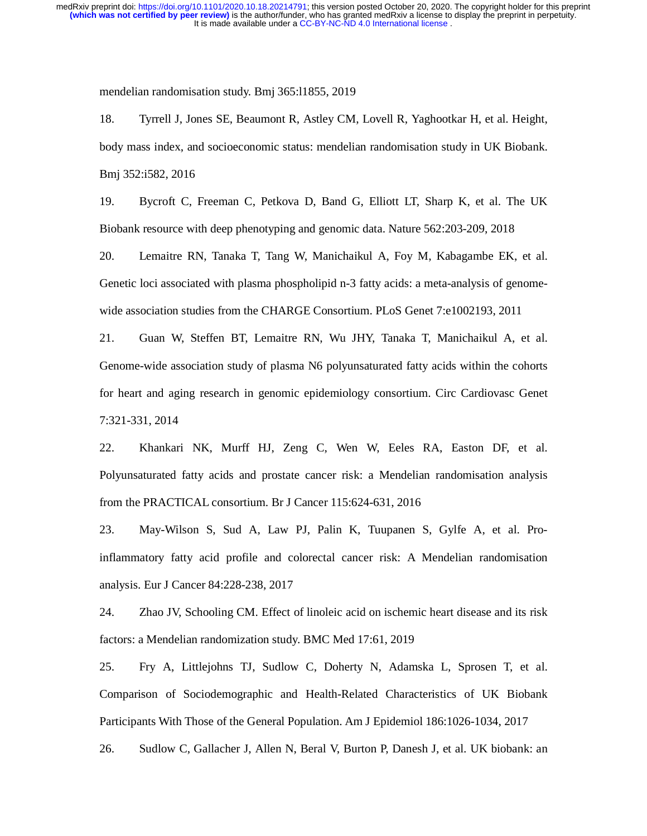mendelian randomisation study. Bmj 365:l1855, 2019

18. Tyrrell J, Jones SE, Beaumont R, Astley CM, Lovell R, Yaghootkar H, et al. Height, body mass index, and socioeconomic status: mendelian randomisation study in UK Biobank. Bmj 352:i582, 2016

19. Bycroft C, Freeman C, Petkova D, Band G, Elliott LT, Sharp K, et al. The UK Biobank resource with deep phenotyping and genomic data. Nature 562:203-209, 2018

20. Lemaitre RN, Tanaka T, Tang W, Manichaikul A, Foy M, Kabagambe EK, et al. Genetic loci associated with plasma phospholipid n-3 fatty acids: a meta-analysis of genomewide association studies from the CHARGE Consortium. PLoS Genet 7:e1002193, 2011

21. Guan W, Steffen BT, Lemaitre RN, Wu JHY, Tanaka T, Manichaikul A, et al. Genome-wide association study of plasma N6 polyunsaturated fatty acids within the cohorts for heart and aging research in genomic epidemiology consortium. Circ Cardiovasc Genet 7:321-331, 2014

22. Khankari NK, Murff HJ, Zeng C, Wen W, Eeles RA, Easton DF, et al. Polyunsaturated fatty acids and prostate cancer risk: a Mendelian randomisation analysis from the PRACTICAL consortium. Br J Cancer 115:624-631, 2016

23. May-Wilson S, Sud A, Law PJ, Palin K, Tuupanen S, Gylfe A, et al. Proinflammatory fatty acid profile and colorectal cancer risk: A Mendelian randomisation analysis. Eur J Cancer 84:228-238, 2017

24. Zhao JV, Schooling CM. Effect of linoleic acid on ischemic heart disease and its risk factors: a Mendelian randomization study. BMC Med 17:61, 2019

25. Fry A, Littlejohns TJ, Sudlow C, Doherty N, Adamska L, Sprosen T, et al. Comparison of Sociodemographic and Health-Related Characteristics of UK Biobank Participants With Those of the General Population. Am J Epidemiol 186:1026-1034, 2017

26. Sudlow C, Gallacher J, Allen N, Beral V, Burton P, Danesh J, et al. UK biobank: an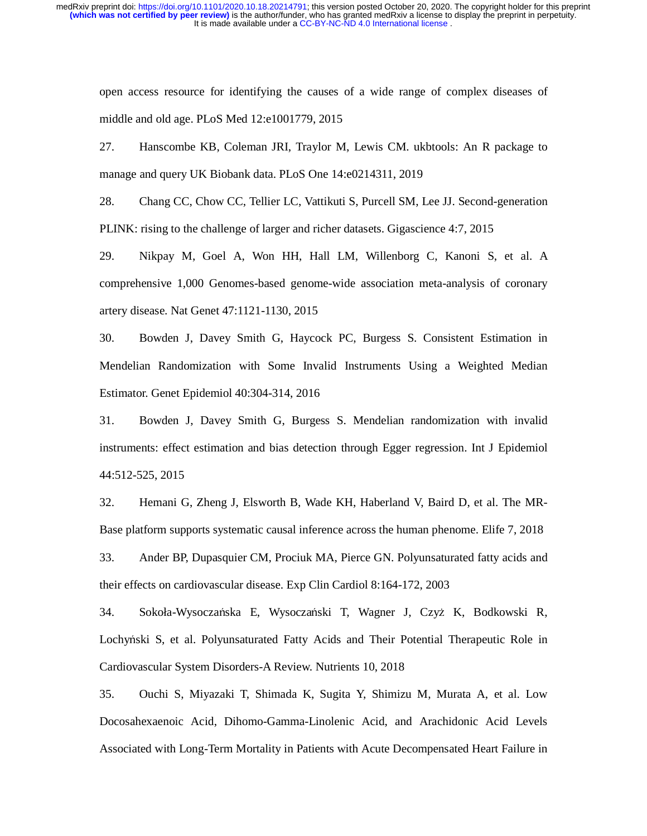open access resource for identifying the causes of a wide range of complex diseases of middle and old age. PLoS Med 12:e1001779, 2015

27. Hanscombe KB, Coleman JRI, Traylor M, Lewis CM. ukbtools: An R package to manage and query UK Biobank data. PLoS One 14:e0214311, 2019

28. Chang CC, Chow CC, Tellier LC, Vattikuti S, Purcell SM, Lee JJ. Second-generation PLINK: rising to the challenge of larger and richer datasets. Gigascience 4:7, 2015

29. Nikpay M, Goel A, Won HH, Hall LM, Willenborg C, Kanoni S, et al. A comprehensive 1,000 Genomes-based genome-wide association meta-analysis of coronary artery disease. Nat Genet 47:1121-1130, 2015

30. Bowden J, Davey Smith G, Haycock PC, Burgess S. Consistent Estimation in Mendelian Randomization with Some Invalid Instruments Using a Weighted Median Estimator. Genet Epidemiol 40:304-314, 2016

31. Bowden J, Davey Smith G, Burgess S. Mendelian randomization with invalid instruments: effect estimation and bias detection through Egger regression. Int J Epidemiol 44:512-525, 2015

32. Hemani G, Zheng J, Elsworth B, Wade KH, Haberland V, Baird D, et al. The MR-Base platform supports systematic causal inference across the human phenome. Elife 7, 2018

33. Ander BP, Dupasquier CM, Prociuk MA, Pierce GN. Polyunsaturated fatty acids and their effects on cardiovascular disease. Exp Clin Cardiol 8:164-172, 2003

34. Sokoła-Wysoczańska E, Wysoczański T, Wagner J, Czyż K, Bodkowski R, Lochyński S, et al. Polyunsaturated Fatty Acids and Their Potential Therapeutic Role in Cardiovascular System Disorders-A Review. Nutrients 10, 2018

35. Ouchi S, Miyazaki T, Shimada K, Sugita Y, Shimizu M, Murata A, et al. Low Docosahexaenoic Acid, Dihomo-Gamma-Linolenic Acid, and Arachidonic Acid Levels Associated with Long-Term Mortality in Patients with Acute Decompensated Heart Failure in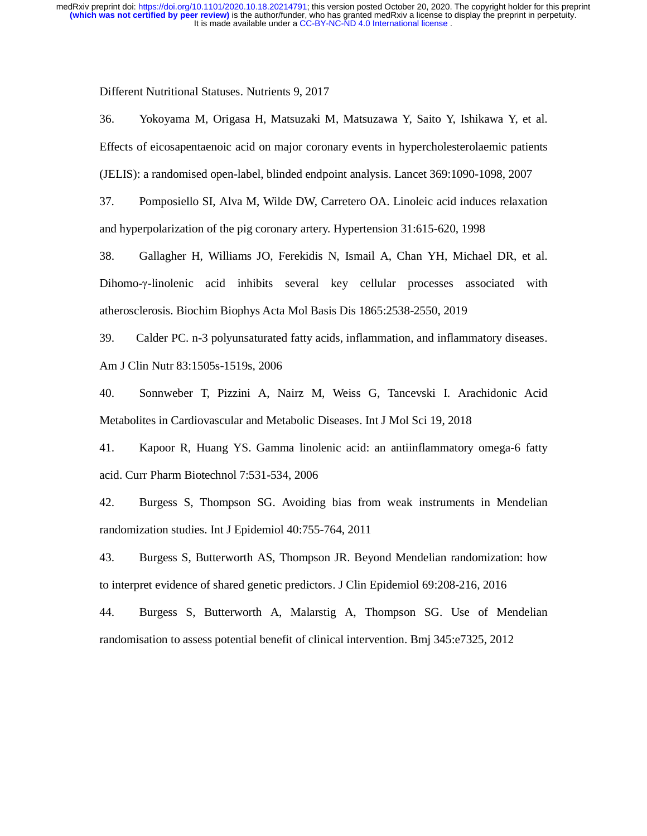Different Nutritional Statuses. Nutrients 9, 2017

36. Yokoyama M, Origasa H, Matsuzaki M, Matsuzawa Y, Saito Y, Ishikawa Y, et al. Effects of eicosapentaenoic acid on major coronary events in hypercholesterolaemic patients (JELIS): a randomised open-label, blinded endpoint analysis. Lancet 369:1090-1098, 2007

37. Pomposiello SI, Alva M, Wilde DW, Carretero OA. Linoleic acid induces relaxation and hyperpolarization of the pig coronary artery. Hypertension 31:615-620, 1998

38. Gallagher H, Williams JO, Ferekidis N, Ismail A, Chan YH, Michael DR, et al. Dihomo-γ-linolenic acid inhibits several key cellular processes associated with atherosclerosis. Biochim Biophys Acta Mol Basis Dis 1865:2538-2550, 2019

39. Calder PC. n-3 polyunsaturated fatty acids, inflammation, and inflammatory diseases. Am J Clin Nutr 83:1505s-1519s, 2006

40. Sonnweber T, Pizzini A, Nairz M, Weiss G, Tancevski I. Arachidonic Acid Metabolites in Cardiovascular and Metabolic Diseases. Int J Mol Sci 19, 2018

41. Kapoor R, Huang YS. Gamma linolenic acid: an antiinflammatory omega-6 fatty acid. Curr Pharm Biotechnol 7:531-534, 2006

42. Burgess S, Thompson SG. Avoiding bias from weak instruments in Mendelian randomization studies. Int J Epidemiol 40:755-764, 2011

43. Burgess S, Butterworth AS, Thompson JR. Beyond Mendelian randomization: how to interpret evidence of shared genetic predictors. J Clin Epidemiol 69:208-216, 2016

44. Burgess S, Butterworth A, Malarstig A, Thompson SG. Use of Mendelian randomisation to assess potential benefit of clinical intervention. Bmj 345:e7325, 2012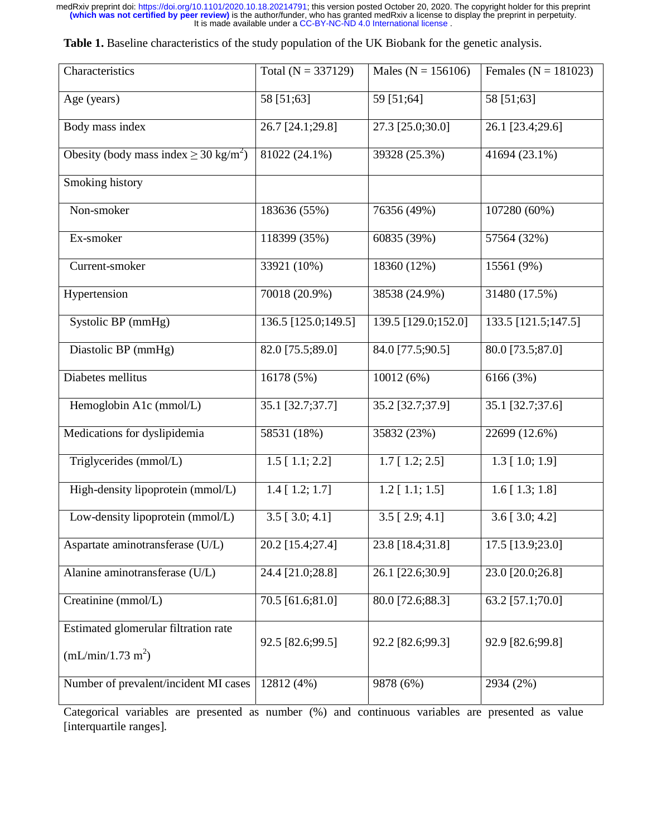Table 1. Baseline characteristics of the study population of the UK Biobank for the genetic analysis.

| Characteristics                                     | Total $(N = 337129)$ | Males ( $N = 156106$ )  | Females ( $N = 181023$ ) |
|-----------------------------------------------------|----------------------|-------------------------|--------------------------|
| Age (years)                                         | 58 [51;63]           | 59 [51;64]              | 58 [51;63]               |
| Body mass index                                     | 26.7 [24.1;29.8]     | 27.3 [25.0;30.0]        | 26.1 [23.4;29.6]         |
| Obesity (body mass index $\geq 30 \text{ kg/m}^2$ ) | 81022 (24.1%)        | 39328 (25.3%)           | 41694 (23.1%)            |
| Smoking history                                     |                      |                         |                          |
| Non-smoker                                          | 183636 (55%)         | 76356 (49%)             | 107280 (60%)             |
| Ex-smoker                                           | 118399 (35%)         | 60835 (39%)             | 57564 (32%)              |
| Current-smoker                                      | 33921 (10%)          | 18360 (12%)             | 15561 (9%)               |
| Hypertension                                        | 70018 (20.9%)        | 38538 (24.9%)           | 31480 (17.5%)            |
| Systolic BP (mmHg)                                  | 136.5 [125.0;149.5]  | 139.5 [129.0;152.0]     | 133.5 [121.5;147.5]      |
| Diastolic BP (mmHg)                                 | 82.0 [75.5;89.0]     | 84.0 [77.5;90.5]        | 80.0 [73.5;87.0]         |
| Diabetes mellitus                                   | 16178 (5%)           | 10012 (6%)              | 6166 (3%)                |
| Hemoglobin A1c (mmol/L)                             | 35.1 [32.7;37.7]     | 35.2 [32.7;37.9]        | 35.1 [32.7;37.6]         |
| Medications for dyslipidemia                        | 58531 (18%)          | 35832 (23%)             | 22699 (12.6%)            |
| Triglycerides (mmol/L)                              | $1.5$ [ $1.1$ ; 2.2] | $1.7$ [ $1.2$ ; $2.5$ ] | $1.3$ [ $1.0$ ; $1.9$ ]  |
| High-density lipoprotein (mmol/L)                   | $1.4$ [ $1.2$ ; 1.7] | $1.2$ [ $1.1$ ; $1.5$ ] | $1.6$ [ $1.3$ ; $1.8$ ]  |
| Low-density lipoprotein (mmol/L)                    | $3.5$ [ $3.0; 4.1$ ] | $3.5$ [ $2.9; 4.1$ ]    | $3.6$ [ $3.0; 4.2$ ]     |
| Aspartate aminotransferase (U/L)                    | 20.2 [15.4;27.4]     | 23.8 [18.4;31.8]        | 17.5 [13.9;23.0]         |
| Alanine aminotransferase (U/L)                      | 24.4 [21.0;28.8]     | 26.1 [22.6;30.9]        | 23.0 [20.0;26.8]         |
| Creatinine (mmol/L)                                 | 70.5 [61.6;81.0]     | 80.0 [72.6;88.3]        | 63.2 [57.1;70.0]         |
| Estimated glomerular filtration rate                | 92.5 [82.6;99.5]     | 92.2 [82.6;99.3]        | 92.9 [82.6;99.8]         |
| (mL/min/1.73 m <sup>2</sup> )                       |                      |                         |                          |
| Number of prevalent/incident MI cases               | 12812 (4%)           | 9878 (6%)               | 2934 (2%)                |

Categorical variables are presented as number (%) and continuous variables are presented as value [interquartile ranges].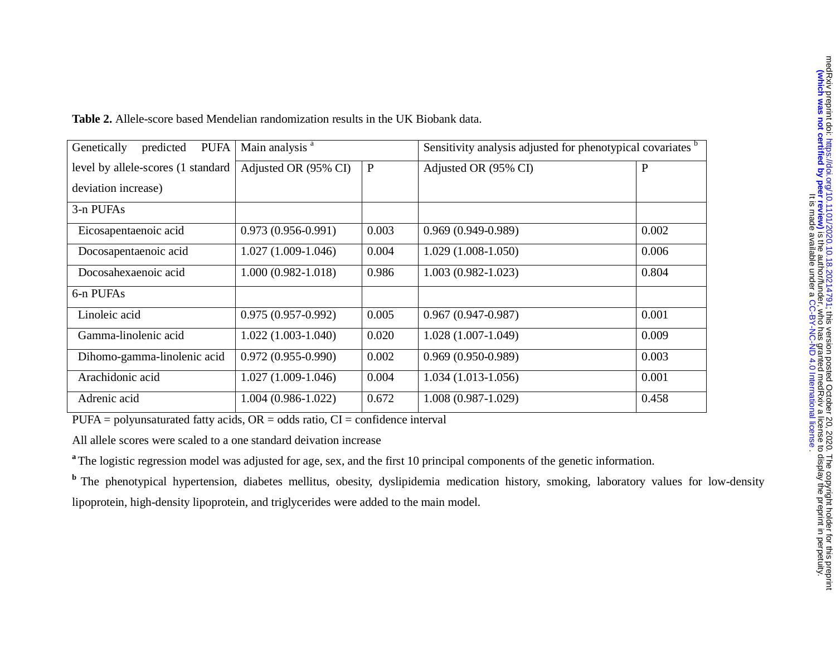| <b>PUFA</b><br>Genetically<br>predicted | Main analysis <sup>a</sup> |              | Sensitivity analysis adjusted for phenotypical covariates b |              |
|-----------------------------------------|----------------------------|--------------|-------------------------------------------------------------|--------------|
| level by allele-scores (1 standard      | Adjusted OR (95% CI)       | $\mathbf{P}$ | Adjusted OR (95% CI)                                        | $\mathbf{P}$ |
| deviation increase)                     |                            |              |                                                             |              |
| 3-n PUFAs                               |                            |              |                                                             |              |
| Eicosapentaenoic acid                   | $0.973(0.956-0.991)$       | 0.003        | $0.969(0.949 - 0.989)$                                      | 0.002        |
| Docosapentaenoic acid                   | $1.027(1.009-1.046)$       | 0.004        | $1.029(1.008-1.050)$                                        | 0.006        |
| Docosahexaenoic acid                    | $1.000(0.982 - 1.018)$     | 0.986        | $1.003(0.982 - 1.023)$                                      | 0.804        |
| 6-n PUFAs                               |                            |              |                                                             |              |
| Linoleic acid                           | $0.975(0.957-0.992)$       | 0.005        | $0.967(0.947-0.987)$                                        | 0.001        |
| Gamma-linolenic acid                    | $1.022(1.003-1.040)$       | 0.020        | $1.028(1.007-1.049)$                                        | 0.009        |
| Dihomo-gamma-linolenic acid             | $0.972(0.955-0.990)$       | 0.002        | $0.969(0.950-0.989)$                                        | 0.003        |
| Arachidonic acid                        | $1.027(1.009-1.046)$       | 0.004        | $1.034(1.013-1.056)$                                        | 0.001        |
| Adrenic acid                            | $1.004(0.986-1.022)$       | 0.672        | $1.008(0.987-1.029)$                                        | 0.458        |

 $PUFA = polyunsaturated fatty acids, OR = odds ratio, CI = confidence interval$ 

All allele scores were scaled to a one standard deivation increase

<sup>a</sup>The logistic regression model was adjusted for age, sex, and the first 10 principal components of the genetic information.

**b** The phenotypical hypertension, diabetes mellitus, obesity, dyslipidemia medication history, smoking, laboratory values for low-density lipoprotein, high-density lipoprotein, and triglycerides were added to the main model.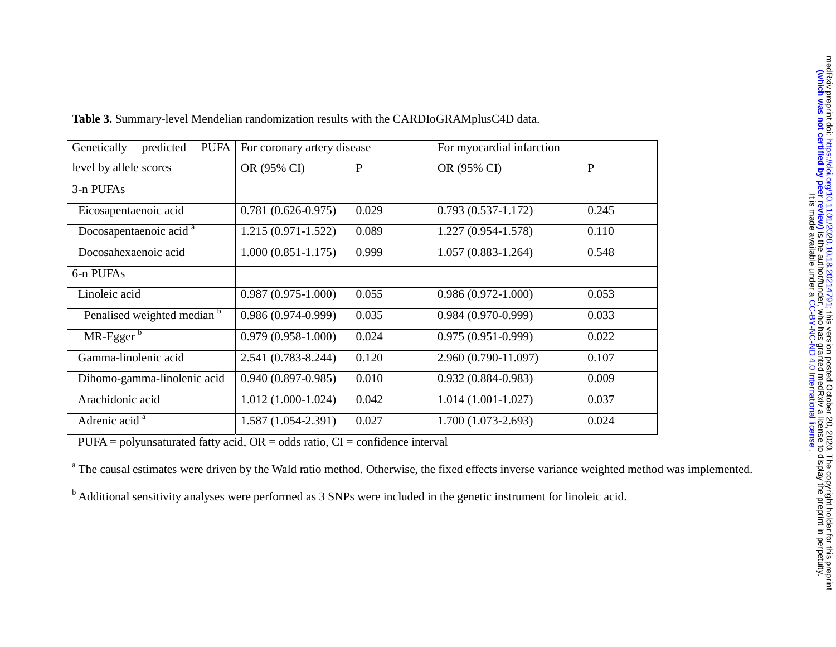| Genetically<br>predicted<br><b>PUFA</b> | For coronary artery disease |              | For myocardial infarction |              |
|-----------------------------------------|-----------------------------|--------------|---------------------------|--------------|
| level by allele scores                  | OR (95% CI)                 | $\mathbf{P}$ | OR (95% CI)               | $\mathbf{P}$ |
| 3-n PUFAs                               |                             |              |                           |              |
| Eicosapentaenoic acid                   | $0.781(0.626-0.975)$        | 0.029        | $0.793(0.537-1.172)$      | 0.245        |
| Docosapentaenoic acid <sup>a</sup>      | $1.215(0.971-1.522)$        | 0.089        | 1.227 (0.954-1.578)       | 0.110        |
| Docosahexaenoic acid                    | $1.000(0.851-1.175)$        | 0.999        | $1.057(0.883 - 1.264)$    | 0.548        |
| 6-n PUFAs                               |                             |              |                           |              |
| Linoleic acid                           | $0.987(0.975-1.000)$        | 0.055        | $0.986(0.972 - 1.000)$    | 0.053        |
| Penalised weighted median b             | $0.986(0.974-0.999)$        | 0.035        | $0.984(0.970-0.999)$      | 0.033        |
| $MR-Eggerb$                             | $0.979(0.958-1.000)$        | 0.024        | $0.975(0.951-0.999)$      | 0.022        |
| Gamma-linolenic acid                    | 2.541 (0.783-8.244)         | 0.120        | 2.960 (0.790-11.097)      | 0.107        |
| Dihomo-gamma-linolenic acid             | $0.940(0.897 - 0.985)$      | 0.010        | $0.932(0.884 - 0.983)$    | 0.009        |
| Arachidonic acid                        | $1.012(1.000-1.024)$        | 0.042        | $1.014(1.001-1.027)$      | 0.037        |
| Adrenic acid <sup>a</sup>               | $1.587(1.054-2.391)$        | 0.027        | 1.700 (1.073-2.693)       | 0.024        |

**Table 3.** Summary-level Mendelian randomization results with the CARDIoGRAMplusC4D data.

 $PUFA = polyunsaturated fatty acid, OR = odds ratio, CI = confidence interval$ 

<sup>a</sup> The causal estimates were driven by the Wald ratio method. Otherwise, the fixed effects inverse variance weighted method was implemented.

<sup>b</sup> Additional sensitivity analyses were performed as 3 SNPs were included in the genetic instrument for linoleic acid.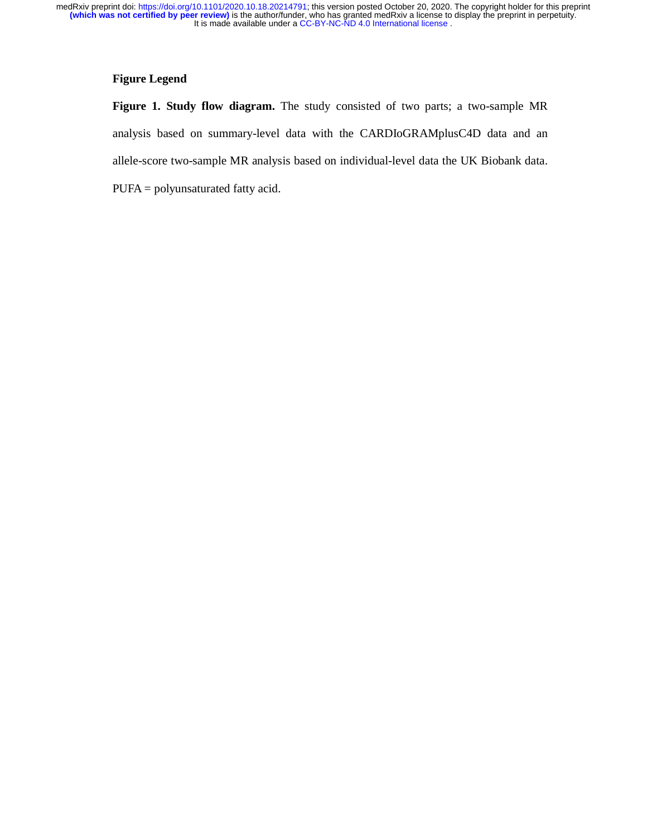## **Figure Legend**

**Figure 1. Study flow diagram.** The study consisted of two parts; a two-sample MR analysis based on summary-level data with the CARDIoGRAMplusC4D data and an allele-score two-sample MR analysis based on individual-level data the UK Biobank data. PUFA = polyunsaturated fatty acid.